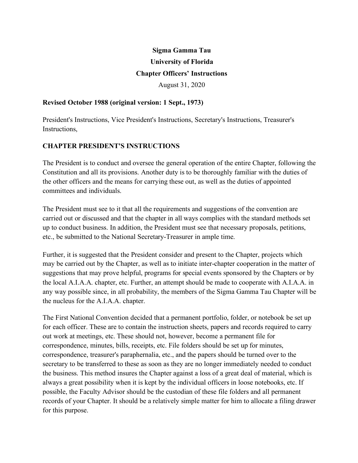# **Sigma Gamma Tau University of Florida Chapter Officers' Instructions** August 31, 2020

### **Revised October 1988 (original version: 1 Sept., 1973)**

President's Instructions, Vice President's Instructions, Secretary's Instructions, Treasurer's Instructions,

# **CHAPTER PRESIDENT'S INSTRUCTIONS**

The President is to conduct and oversee the general operation of the entire Chapter, following the Constitution and all its provisions. Another duty is to be thoroughly familiar with the duties of the other officers and the means for carrying these out, as well as the duties of appointed committees and individuals.

The President must see to it that all the requirements and suggestions of the convention are carried out or discussed and that the chapter in all ways complies with the standard methods set up to conduct business. In addition, the President must see that necessary proposals, petitions, etc., be submitted to the National Secretary-Treasurer in ample time.

Further, it is suggested that the President consider and present to the Chapter, projects which may be carried out by the Chapter, as well as to initiate inter-chapter cooperation in the matter of suggestions that may prove helpful, programs for special events sponsored by the Chapters or by the local A.I.A.A. chapter, etc. Further, an attempt should be made to cooperate with A.I.A.A. in any way possible since, in all probability, the members of the Sigma Gamma Tau Chapter will be the nucleus for the A.I.A.A. chapter.

The First National Convention decided that a permanent portfolio, folder, or notebook be set up for each officer. These are to contain the instruction sheets, papers and records required to carry out work at meetings, etc. These should not, however, become a permanent file for correspondence, minutes, bills, receipts, etc. File folders should be set up for minutes, correspondence, treasurer's paraphernalia, etc., and the papers should be turned over to the secretary to be transferred to these as soon as they are no longer immediately needed to conduct the business. This method insures the Chapter against a loss of a great deal of material, which is always a great possibility when it is kept by the individual officers in loose notebooks, etc. If possible, the Faculty Advisor should be the custodian of these file folders and all permanent records of your Chapter. It should be a relatively simple matter for him to allocate a filing drawer for this purpose.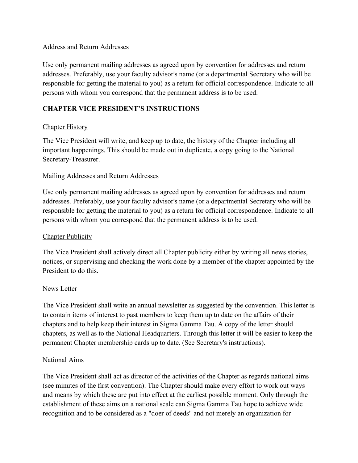# Address and Return Addresses

Use only permanent mailing addresses as agreed upon by convention for addresses and return addresses. Preferably, use your faculty advisor's name (or a departmental Secretary who will be responsible for getting the material to you) as a return for official correspondence. Indicate to all persons with whom you correspond that the permanent address is to be used.

# **CHAPTER VICE PRESIDENT'S INSTRUCTIONS**

### Chapter History

The Vice President will write, and keep up to date, the history of the Chapter including all important happenings. This should be made out in duplicate, a copy going to the National Secretary-Treasurer.

### Mailing Addresses and Return Addresses

Use only permanent mailing addresses as agreed upon by convention for addresses and return addresses. Preferably, use your faculty advisor's name (or a departmental Secretary who will be responsible for getting the material to you) as a return for official correspondence. Indicate to all persons with whom you correspond that the permanent address is to be used.

#### **Chapter Publicity**

The Vice President shall actively direct all Chapter publicity either by writing all news stories, notices, or supervising and checking the work done by a member of the chapter appointed by the President to do this.

#### News Letter

The Vice President shall write an annual newsletter as suggested by the convention. This letter is to contain items of interest to past members to keep them up to date on the affairs of their chapters and to help keep their interest in Sigma Gamma Tau. A copy of the letter should chapters, as well as to the National Headquarters. Through this letter it will be easier to keep the permanent Chapter membership cards up to date. (See Secretary's instructions).

#### National Aims

The Vice President shall act as director of the activities of the Chapter as regards national aims (see minutes of the first convention). The Chapter should make every effort to work out ways and means by which these are put into effect at the earliest possible moment. Only through the establishment of these aims on a national scale can Sigma Gamma Tau hope to achieve wide recognition and to be considered as a "doer of deeds" and not merely an organization for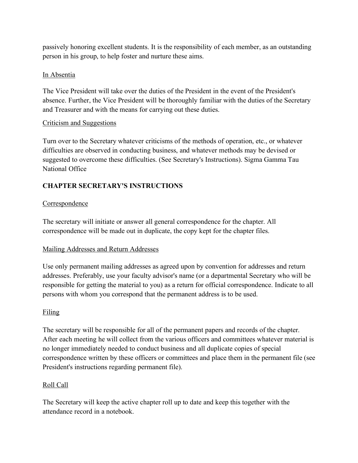passively honoring excellent students. It is the responsibility of each member, as an outstanding person in his group, to help foster and nurture these aims.

# In Absentia

The Vice President will take over the duties of the President in the event of the President's absence. Further, the Vice President will be thoroughly familiar with the duties of the Secretary and Treasurer and with the means for carrying out these duties.

# Criticism and Suggestions

Turn over to the Secretary whatever criticisms of the methods of operation, etc., or whatever difficulties are observed in conducting business, and whatever methods may be devised or suggested to overcome these difficulties. (See Secretary's Instructions). Sigma Gamma Tau National Office

# **CHAPTER SECRETARY'S INSTRUCTIONS**

# Correspondence

The secretary will initiate or answer all general correspondence for the chapter. All correspondence will be made out in duplicate, the copy kept for the chapter files.

# Mailing Addresses and Return Addresses

Use only permanent mailing addresses as agreed upon by convention for addresses and return addresses. Preferably, use your faculty advisor's name (or a departmental Secretary who will be responsible for getting the material to you) as a return for official correspondence. Indicate to all persons with whom you correspond that the permanent address is to be used.

# Filing

The secretary will be responsible for all of the permanent papers and records of the chapter. After each meeting he will collect from the various officers and committees whatever material is no longer immediately needed to conduct business and all duplicate copies of special correspondence written by these officers or committees and place them in the permanent file (see President's instructions regarding permanent file).

# Roll Call

The Secretary will keep the active chapter roll up to date and keep this together with the attendance record in a notebook.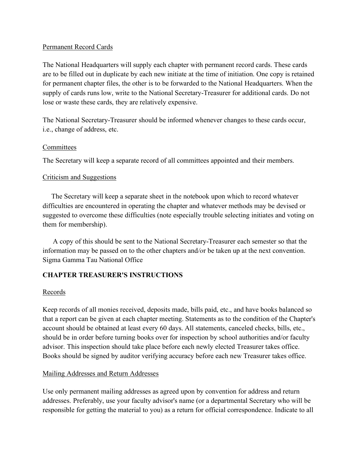# Permanent Record Cards

The National Headquarters will supply each chapter with permanent record cards. These cards are to be filled out in duplicate by each new initiate at the time of initiation. One copy is retained for permanent chapter files, the other is to be forwarded to the National Headquarters. When the supply of cards runs low, write to the National Secretary-Treasurer for additional cards. Do not lose or waste these cards, they are relatively expensive.

The National Secretary-Treasurer should be informed whenever changes to these cards occur, i.e., change of address, etc.

### **Committees**

The Secretary will keep a separate record of all committees appointed and their members.

# Criticism and Suggestions

The Secretary will keep a separate sheet in the notebook upon which to record whatever difficulties are encountered in operating the chapter and whatever methods may be devised or suggested to overcome these difficulties (note especially trouble selecting initiates and voting on them for membership).

A copy of this should be sent to the National Secretary-Treasurer each semester so that the information may be passed on to the other chapters and*/o*r be taken up at the next convention. Sigma Gamma Tau National Office

# **CHAPTER TREASURER'S INSTRUCTIONS**

#### Records

Keep records of all monies received, deposits made, bills paid, etc., and have books balanced so that a report can be given at each chapter meeting. Statements as to the condition of the Chapter's account should be obtained at least every 60 days. All statements, canceled checks, bills, etc., should be in order before turning books over for inspection by school authorities and/or faculty advisor. This inspection should take place before each newly elected Treasurer takes office. Books should be signed by auditor verifying accuracy before each new Treasurer takes office.

# Mailing Addresses and Return Addresses

Use only permanent mailing addresses as agreed upon by convention for address and return addresses. Preferably, use your faculty advisor's name (or a departmental Secretary who will be responsible for getting the material to you) as a return for official correspondence. Indicate to all